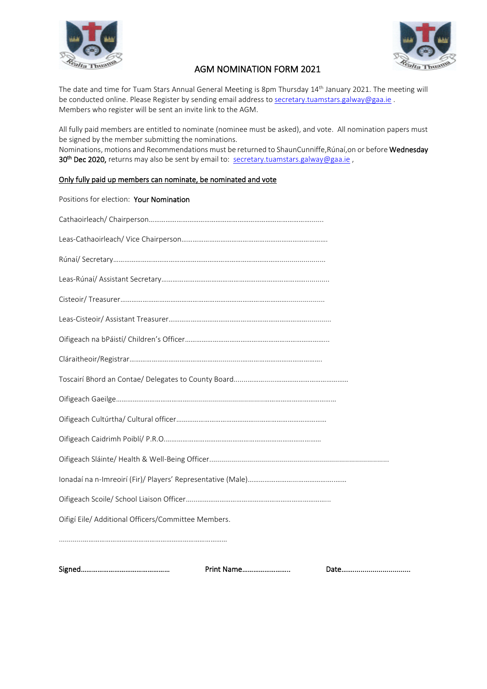



## AGM NOMINATION FORM 2021

The date and time for Tuam Stars Annual General Meeting is 8pm Thursday 14<sup>th</sup> January 2021. The meeting will be conducted online. Please Register by sending email address to [secretary.tuamstars.galway@gaa.ie](mailto:secretary.tuamstars.galway@gaa.ie). Members who register will be sent an invite link to the AGM.

All fully paid members are entitled to nominate (nominee must be asked), and vote. All nomination papers must be signed by the member submitting the nominations.

Nominations, motions and Recommendations must be returned to ShaunCunniffe, Rúnaí, on or before Wednesday 30<sup>th</sup> Dec 2020, returns may also be sent by email to: [secretary.tuamstars.galway@gaa.ie](mailto:secretary.tuamstars.galway@gaa.ie),

## Only fully paid up members can nominate, be nominated and vote

|                                                     | Print Name |  |
|-----------------------------------------------------|------------|--|
|                                                     |            |  |
| Oifigí Eile/ Additional Officers/Committee Members. |            |  |
|                                                     |            |  |
|                                                     |            |  |
|                                                     |            |  |
|                                                     |            |  |
|                                                     |            |  |
|                                                     |            |  |
|                                                     |            |  |
|                                                     |            |  |
|                                                     |            |  |
|                                                     |            |  |
|                                                     |            |  |
|                                                     |            |  |
|                                                     |            |  |
|                                                     |            |  |
|                                                     |            |  |
|                                                     |            |  |
| Positions for election: Your Nomination             |            |  |